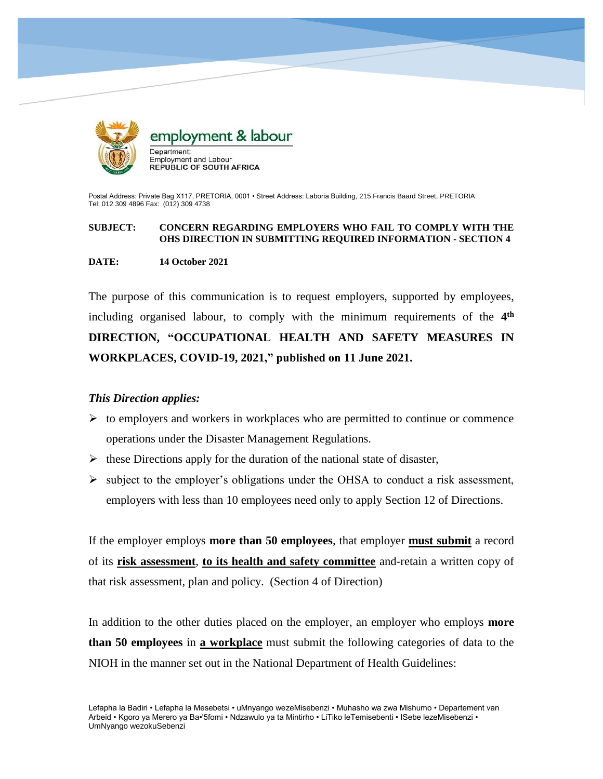

Postal Address: Private Bag X117, PRETORIA, 0001 • Street Address: Laboria Building, 215 Francis Baard Street, PRETORIA Tel: 012 309 4896 Fax: (012) 309 4738

## **SUBJECT: CONCERN REGARDING EMPLOYERS WHO FAIL TO COMPLY WITH THE OHS DIRECTION IN SUBMITTING REQUIRED INFORMATION - SECTION 4**

## **DATE: 14 October 2021**

The purpose of this communication is to request employers, supported by employees, including organised labour, to comply with the minimum requirements of the **4 th DIRECTION, "OCCUPATIONAL HEALTH AND SAFETY MEASURES IN WORKPLACES, COVID-19, 2021," published on 11 June 2021.**

## *This Direction applies:*

- $\triangleright$  to employers and workers in workplaces who are permitted to continue or commence operations under the Disaster Management Regulations.
- $\triangleright$  these Directions apply for the duration of the national state of disaster,
- $\triangleright$  subject to the employer's obligations under the OHSA to conduct a risk assessment, employers with less than 10 employees need only to apply Section 12 of Directions.

If the employer employs **more than 50 employees**, that employer **must submit** a record of its **risk assessment**, **to its health and safety committee** and-retain a written copy of that risk assessment, plan and policy. (Section 4 of Direction)

In addition to the other duties placed on the employer, an employer who employs **more than 50 employees** in **a workplace** must submit the following categories of data to the NIOH in the manner set out in the National Department of Health Guidelines: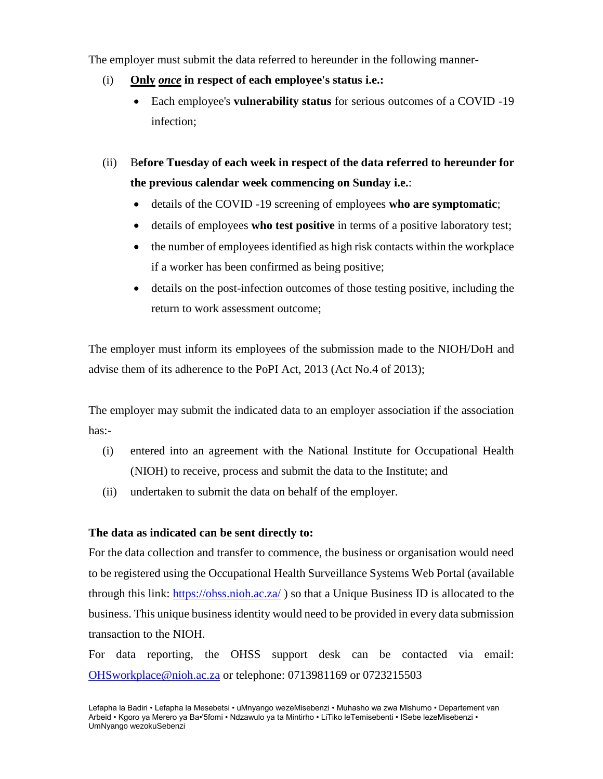The employer must submit the data referred to hereunder in the following manner-

- (i) **Only** *once* **in respect of each employee's status i.e.:**
	- Each employee's **vulnerability status** for serious outcomes of a COVID -19 infection;

(ii) B**efore Tuesday of each week in respect of the data referred to hereunder for the previous calendar week commencing on Sunday i.e.**:

- details of the COVID -19 screening of employees **who are symptomatic**;
- details of employees **who test positive** in terms of a positive laboratory test;
- the number of employees identified as high risk contacts within the workplace if a worker has been confirmed as being positive;
- details on the post-infection outcomes of those testing positive, including the return to work assessment outcome;

The employer must inform its employees of the submission made to the NIOH/DoH and advise them of its adherence to the PoPI Act, 2013 (Act No.4 of 2013);

The employer may submit the indicated data to an employer association if the association has:-

- (i) entered into an agreement with the National Institute for Occupational Health (NIOH) to receive, process and submit the data to the Institute; and
- (ii) undertaken to submit the data on behalf of the employer.

## **The data as indicated can be sent directly to:**

For the data collection and transfer to commence, the business or organisation would need to be registered using the Occupational Health Surveillance Systems Web Portal (available through this link:<https://ohss.nioh.ac.za/> ) so that a Unique Business ID is allocated to the business. This unique business identity would need to be provided in every data submission transaction to the NIOH.

For data reporting, the OHSS support desk can be contacted via email: [OHSworkplace@nioh.ac.za](mailto:OHSworkplace@nioh.ac.za) or telephone: 0713981169 or 0723215503